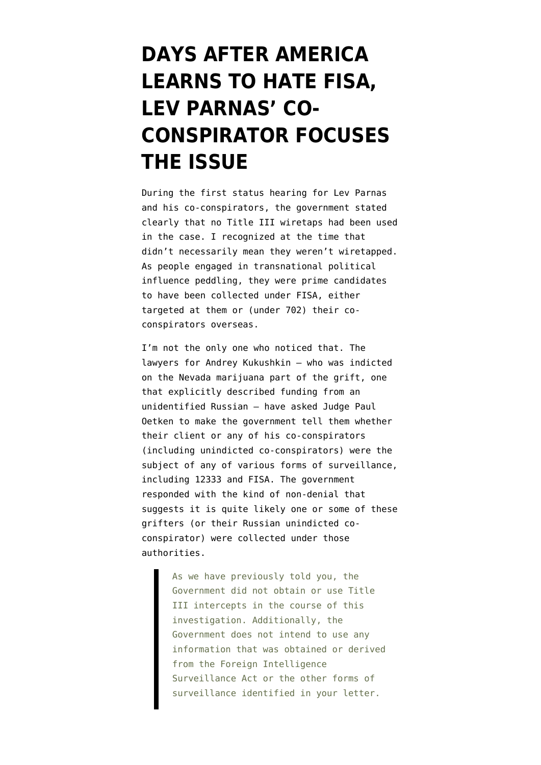## **[DAYS AFTER AMERICA](https://www.emptywheel.net/2019/12/12/days-after-america-learns-to-hate-fisa-lev-parnas-co-conspirator-focuses-the-issue/) [LEARNS TO HATE FISA,](https://www.emptywheel.net/2019/12/12/days-after-america-learns-to-hate-fisa-lev-parnas-co-conspirator-focuses-the-issue/) [LEV PARNAS' CO-](https://www.emptywheel.net/2019/12/12/days-after-america-learns-to-hate-fisa-lev-parnas-co-conspirator-focuses-the-issue/)[CONSPIRATOR FOCUSES](https://www.emptywheel.net/2019/12/12/days-after-america-learns-to-hate-fisa-lev-parnas-co-conspirator-focuses-the-issue/) [THE ISSUE](https://www.emptywheel.net/2019/12/12/days-after-america-learns-to-hate-fisa-lev-parnas-co-conspirator-focuses-the-issue/)**

During the first status hearing for Lev Parnas and his co-conspirators, the government [stated](https://www.nbcnews.com/politics/justice-department/prosecutor-says-new-charges-likely-case-against-rudy-giuliani-associates-n1094506) clearly that no Title III wiretaps had been used in the case. I recognized at the time that didn't necessarily mean they weren't wiretapped. As people engaged in transnational political influence peddling, they were prime candidates to have been collected under FISA, either targeted at them or (under 702) their coconspirators overseas.

I'm not the only one who noticed that. The lawyers for Andrey Kukushkin — who was [indicted](https://assets.documentcloud.org/documents/6466334/U-S-v-Lev-Parnas-Et-Al-Indictment.pdf) on the Nevada marijuana part of the grift, one that explicitly described funding from an unidentified Russian — have [asked](https://www.courtlistener.com/recap/gov.uscourts.nysd.524341/gov.uscourts.nysd.524341.45.0.pdf) Judge Paul Oetken to make the government tell them whether their client or any of his co-conspirators (including unindicted co-conspirators) were the subject of [any of various forms of surveillance,](https://www.courtlistener.com/recap/gov.uscourts.nysd.524345/gov.uscourts.nysd.524345.45.1.pdf) including 12333 and FISA. The government [responded](https://www.courtlistener.com/recap/gov.uscourts.nysd.524345/gov.uscourts.nysd.524345.45.2.pdf) with the kind of non-denial that suggests it is quite likely one or some of these grifters (or their Russian unindicted coconspirator) were collected under those authorities.

> As we have previously told you, the Government did not obtain or use Title III intercepts in the course of this investigation. Additionally, the Government does not intend to use any information that was obtained or derived from the Foreign Intelligence Surveillance Act or the other forms of surveillance identified in your letter.